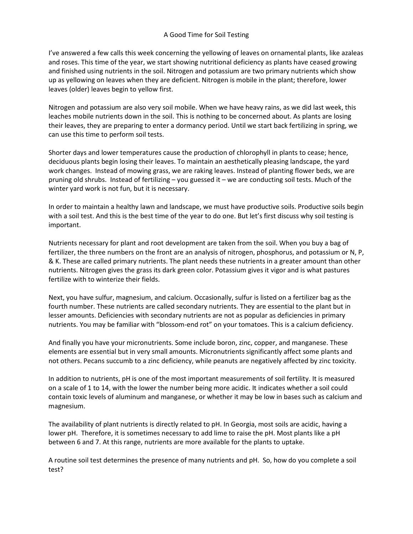## A Good Time for Soil Testing

I've answered a few calls this week concerning the yellowing of leaves on ornamental plants, like azaleas and roses. This time of the year, we start showing nutritional deficiency as plants have ceased growing and finished using nutrients in the soil. Nitrogen and potassium are two primary nutrients which show up as yellowing on leaves when they are deficient. Nitrogen is mobile in the plant; therefore, lower leaves (older) leaves begin to yellow first.

Nitrogen and potassium are also very soil mobile. When we have heavy rains, as we did last week, this leaches mobile nutrients down in the soil. This is nothing to be concerned about. As plants are losing their leaves, they are preparing to enter a dormancy period. Until we start back fertilizing in spring, we can use this time to perform soil tests.

Shorter days and lower temperatures cause the production of chlorophyll in plants to cease; hence, deciduous plants begin losing their leaves. To maintain an aesthetically pleasing landscape, the yard work changes. Instead of mowing grass, we are raking leaves. Instead of planting flower beds, we are pruning old shrubs. Instead of fertilizing – you guessed it – we are conducting soil tests. Much of the winter yard work is not fun, but it is necessary.

In order to maintain a healthy lawn and landscape, we must have productive soils. Productive soils begin with a soil test. And this is the best time of the year to do one. But let's first discuss why soil testing is important.

Nutrients necessary for plant and root development are taken from the soil. When you buy a bag of fertilizer, the three numbers on the front are an analysis of nitrogen, phosphorus, and potassium or N, P, & K. These are called primary nutrients. The plant needs these nutrients in a greater amount than other nutrients. Nitrogen gives the grass its dark green color. Potassium gives it vigor and is what pastures fertilize with to winterize their fields.

Next, you have sulfur, magnesium, and calcium. Occasionally, sulfur is listed on a fertilizer bag as the fourth number. These nutrients are called secondary nutrients. They are essential to the plant but in lesser amounts. Deficiencies with secondary nutrients are not as popular as deficiencies in primary nutrients. You may be familiar with "blossom-end rot" on your tomatoes. This is a calcium deficiency.

And finally you have your micronutrients. Some include boron, zinc, copper, and manganese. These elements are essential but in very small amounts. Micronutrients significantly affect some plants and not others. Pecans succumb to a zinc deficiency, while peanuts are negatively affected by zinc toxicity.

In addition to nutrients, pH is one of the most important measurements of soil fertility. It is measured on a scale of 1 to 14, with the lower the number being more acidic. It indicates whether a soil could contain toxic levels of aluminum and manganese, or whether it may be low in bases such as calcium and magnesium.

The availability of plant nutrients is directly related to pH. In Georgia, most soils are acidic, having a lower pH. Therefore, it is sometimes necessary to add lime to raise the pH. Most plants like a pH between 6 and 7. At this range, nutrients are more available for the plants to uptake.

A routine soil test determines the presence of many nutrients and pH. So, how do you complete a soil test?